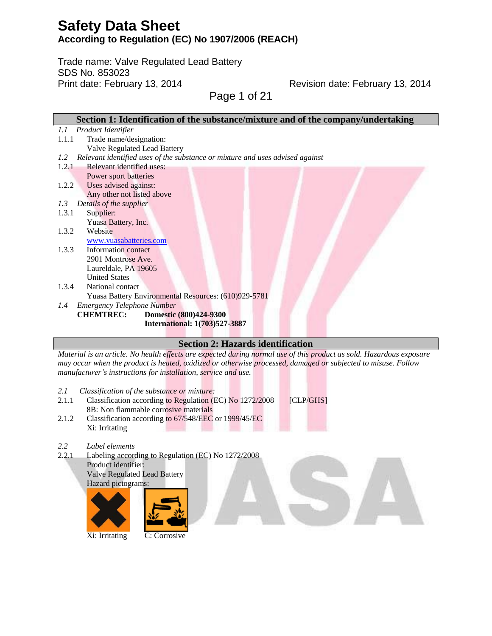Trade name: Valve Regulated Lead Battery SDS No. 853023 Print date: February 13, 2014

Revision date: February 13, 2014

Page 1 of 21

| Section 1: Identification of the substance/mixture and of the company/undertaking    |
|--------------------------------------------------------------------------------------|
| Product Identifier<br>1.1                                                            |
| Trade name/designation:<br>1.1.1                                                     |
| <b>Valve Regulated Lead Battery</b>                                                  |
| Relevant identified uses of the substance or mixture and uses advised against<br>1.2 |
| Relevant identified uses:<br>1.2.1                                                   |
| Power sport batteries                                                                |
| Uses advised against:<br>1.2.2                                                       |
| Any other not listed above                                                           |
| Details of the supplier<br>1.3                                                       |
| 1.3.1<br>Supplier:                                                                   |
| Yuasa Battery, Inc.                                                                  |
| Website<br>1.3.2                                                                     |
| www.yuasabatteries.com                                                               |
| 1.3.3<br>Information contact                                                         |
| 2901 Montrose Ave.                                                                   |
| Laureldale, PA 19605                                                                 |
| <b>United States</b>                                                                 |
| 1.3.4<br>National contact                                                            |
| Yuasa Battery Environmental Resources: (610)929-5781                                 |
| <b>Emergency Telephone Number</b><br>1.4                                             |
| <b>CHEMTREC:</b><br>Domestic (800)424-9300                                           |
| <b>International: 1(703)527-3887</b>                                                 |
|                                                                                      |

### **Section 2: Hazards identification**

*Material is an article. No health effects are expected during normal use of this product as sold. Hazardous exposure may occur when the product is heated, oxidized or otherwise processed, damaged or subjected to misuse. Follow manufacturer's instructions for installation, service and use.*

- *2.1 Classification of the substance or mixture:*
- 2.1.1 Classification according to Regulation (EC) No 1272/2008 [CLP/GHS] 8B: Non flammable corrosive materials
- 2.1.2 Classification according to 67/548/EEC or 1999/45/EC Xi: Irritating
- *2.2 Label elements*
- 2.2.1 Labeling according to Regulation (EC) No 1272/2008 Product identifier: Valve Regulated Lead Battery Hazard pictograms:



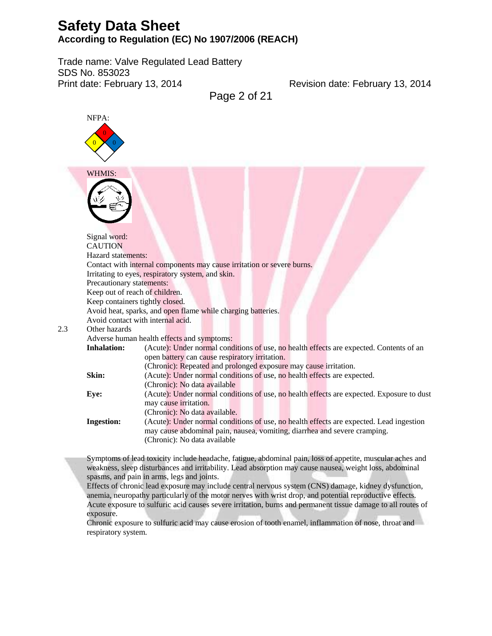Trade name: Valve Regulated Lead Battery SDS No. 853023 Print date: February 13, 2014

Revision date: February 13, 2014

Page 2 of 21



spasms, and pain in arms, legs and joints.

Effects of chronic lead exposure may include central nervous system (CNS) damage, kidney dysfunction, anemia, neuropathy particularly of the motor nerves with wrist drop, and potential reproductive effects. Acute exposure to sulfuric acid causes severe irritation, burns and permanent tissue damage to all routes of exposure.

Chronic exposure to sulfuric acid may cause erosion of tooth enamel, inflammation of nose, throat and respiratory system.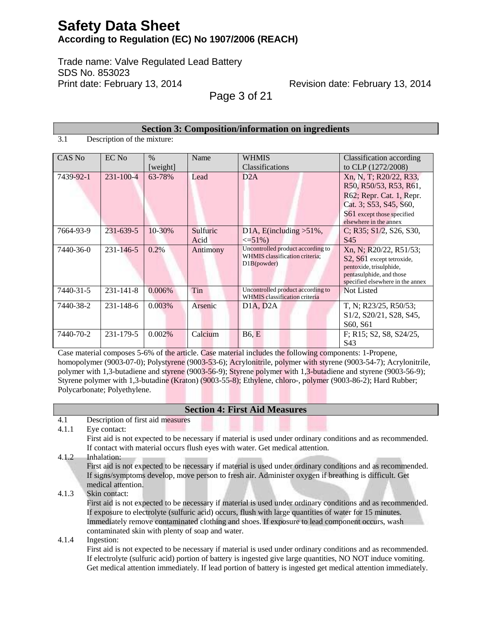Trade name: Valve Regulated Lead Battery SDS No. 853023 Print date: February 13, 2014

Revision date: February 13, 2014

Page 3 of 21

| <b>Section 3: Composition/information on ingredients</b> |                             |                  |                  |                                                                                    |                                                                                                                                                                |
|----------------------------------------------------------|-----------------------------|------------------|------------------|------------------------------------------------------------------------------------|----------------------------------------------------------------------------------------------------------------------------------------------------------------|
| 3.1                                                      | Description of the mixture: |                  |                  |                                                                                    |                                                                                                                                                                |
| CAS No                                                   | EC No                       | $\%$<br>[weight] | Name             | <b>WHMIS</b><br><b>Classifications</b>                                             | <b>Classification</b> according<br>to CLP (1272/2008)                                                                                                          |
| 7439-92-1                                                | $231 - 100 - 4$             | 63-78%           | Lead             | D2A                                                                                | Xn, N, T; R20/22, R33,<br>R50, R50/53, R53, R61,<br>R62; Repr. Cat. 1, Repr.<br>Cat. 3; S53, S45, S60,<br>S61 except those specified<br>elsewhere in the annex |
| 7664-93-9                                                | 231-639-5                   | 10-30%           | Sulfuric<br>Acid | D1A, E(including $>51\%$ ,<br>$\leq 51\%$                                          | C; R35; S1/2, S26, S30,<br>S <sub>45</sub>                                                                                                                     |
| 7440-36-0                                                | $231 - 146 - 5$             | $0.2\%$          | Antimony         | Uncontrolled product according to<br>WHMIS classification criteria:<br>D1B(powder) | Xn, N; R20/22, R51/53;<br>S2, S61 except tetroxide,<br>pentoxide, trisulphide,<br>pentasulphide, and those<br>specified elsewhere in the annex                 |
| 7440-31-5                                                | $231 - 141 - 8$             | 0.006%           | Tin              | Uncontrolled product according to<br>WHMIS classification criteria                 | Not Listed                                                                                                                                                     |
| 7440-38-2                                                | $231 - 148 - 6$             | 0.003%           | Arsenic          | D1A, D2A                                                                           | T, N; R23/25, R50/53;<br>S <sub>1</sub> /2, S <sub>20</sub> /2 <sub>1</sub> , S <sub>28</sub> , S <sub>45</sub> ,<br>S60, S61                                  |
| 7440-70-2                                                | 231-179-5                   | 0.002%           | Calcium          | <b>B6, E</b>                                                                       | F; R15; S2, S8, S24/25,<br>S43                                                                                                                                 |

Case material composes 5-6% of the article. Case material includes the following components: 1-Propene, homopolymer (9003-07-0); Polystyrene (9003-53-6); Acrylonitrile, polymer with styrene (9003-54-7); Acrylonitrile, polymer with 1,3-butadiene and styrene (9003-56-9); Styrene polymer with 1,3-butadiene and styrene (9003-56-9); Styrene polymer with 1,3-butadine (Kraton) (9003-55-8); Ethylene, chloro-, polymer (9003-86-2); Hard Rubber; Polycarbonate; Polyethylene.

|       | <b>Section 4: First Aid Measures</b>                                                                         |
|-------|--------------------------------------------------------------------------------------------------------------|
| 4.1   | Description of first aid measures                                                                            |
| 4.1.1 | Eye contact:                                                                                                 |
|       | First aid is not expected to be necessary if material is used under ordinary conditions and as recommended.  |
|       | If contact with material occurs flush eyes with water. Get medical attention.                                |
| 4.1.2 | Inhalation:                                                                                                  |
|       | First aid is not expected to be necessary if material is used under ordinary conditions and as recommended.  |
|       | If signs/symptoms develop, move person to fresh air. Administer oxygen if breathing is difficult. Get        |
|       | medical attention.                                                                                           |
| 4.1.3 | Skin contact:                                                                                                |
|       | First aid is not expected to be necessary if material is used under ordinary conditions and as recommended.  |
|       | If exposure to electrolyte (sulfuric acid) occurs, flush with large quantities of water for 15 minutes.      |
|       | Immediately remove contaminated clothing and shoes. If exposure to lead component occurs, wash               |
|       | contaminated skin with plenty of soap and water.                                                             |
| 4.1.4 | Ingestion:                                                                                                   |
|       | First aid is not expected to be necessary if material is used under ordinary conditions and as recommended.  |
|       | If electrolyte (sulfuric acid) portion of battery is ingested give large quantities, NO NOT induce vomiting. |
|       | Get medical attention immediately. If lead portion of battery is ingested get medical attention immediately. |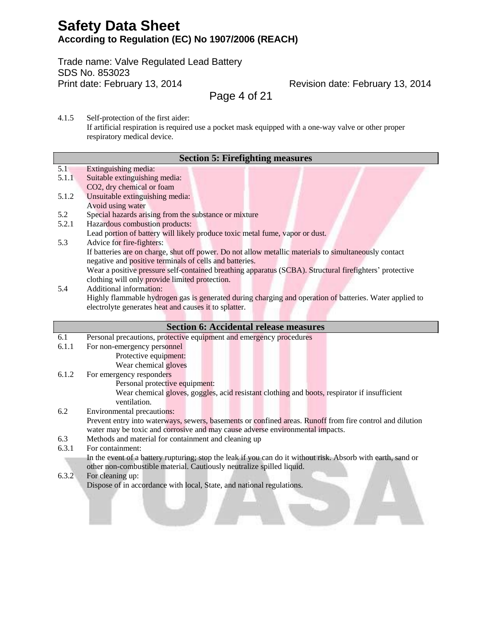Trade name: Valve Regulated Lead Battery SDS No. 853023 Print date: February 13, 2014

Revision date: February 13, 2014

Page 4 of 21

4.1.5 Self-protection of the first aider: If artificial respiration is required use a pocket mask equipped with a one-way valve or other proper respiratory medical device.

|       | <b>Section 5: Firefighting measures</b>                                                                 |
|-------|---------------------------------------------------------------------------------------------------------|
| 5.1   | Extinguishing media:                                                                                    |
| 5.1.1 | Suitable extinguishing media:                                                                           |
|       | CO2, dry chemical or foam                                                                               |
| 5.1.2 | Unsuitable extinguishing media:                                                                         |
|       | Avoid using water                                                                                       |
| 5.2   | Special hazards arising from the substance or mixture                                                   |
| 5.2.1 | Hazardous combustion products:                                                                          |
|       | Lead portion of battery will likely produce toxic metal fume, vapor or dust.                            |
| 5.3   | Advice for fire-fighters:                                                                               |
|       | If batteries are on charge, shut off power. Do not allow metallic materials to simultaneously contact   |
|       | negative and positive terminals of cells and batteries.                                                 |
|       | Wear a positive pressure self-contained breathing apparatus (SCBA). Structural firefighters' protective |
|       | clothing will only provide limited protection.                                                          |
| 5.4   | <b>Additional information:</b>                                                                          |
|       | Highly flammable hydrogen gas is generated during charging and operation of batteries. Water applied to |

Highly flammable hydrogen gas is generated during charging and operation of batteries. Water applied to electrolyte generates heat and causes it to splatter.

|       | <b>Section 6: Accidental release measures</b>                                                                |
|-------|--------------------------------------------------------------------------------------------------------------|
| 6.1   | Personal precautions, protective equipment and emergency procedures                                          |
| 6.1.1 | For non-emergency personnel                                                                                  |
|       | Protective equipment:                                                                                        |
|       | Wear chemical gloves                                                                                         |
| 6.1.2 | For emergency responders                                                                                     |
|       | Personal protective equipment:                                                                               |
|       | Wear chemical gloves, goggles, acid resistant clothing and boots, respirator if insufficient                 |
|       | ventilation.                                                                                                 |
| 6.2   | Environmental precautions:                                                                                   |
|       | Prevent entry into waterways, sewers, basements or confined areas. Runoff from fire control and dilution     |
|       | water may be toxic and corrosive and may cause adverse environmental impacts.                                |
| 6.3   | Methods and material for containment and cleaning up                                                         |
| 6.3.1 | For containment:                                                                                             |
|       | In the event of a battery rupturing; stop the leak if you can do it without risk. Absorb with earth, sand or |
|       | other non-combustible material. Cautiously neutralize spilled liquid.                                        |
| 6.3.2 | For cleaning up:                                                                                             |
|       | Dispose of in accordance with local, State, and national regulations.                                        |
|       |                                                                                                              |

<u> La Carlo de la Carlo de la Carlo de la Carlo de la Carlo de la Carlo de la Carlo de la Carlo de la Carlo de l</u>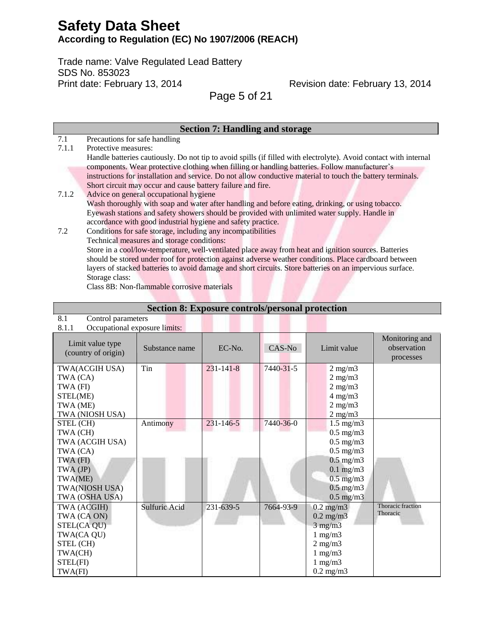Trade name: Valve Regulated Lead Battery SDS No. 853023 Print date: February 13, 2014

Revision date: February 13, 2014

Page 5 of 21

|       | <b>Section 7: Handling and storage</b>                                                                            |
|-------|-------------------------------------------------------------------------------------------------------------------|
| 7.1   | Precautions for safe handling                                                                                     |
| 7.1.1 | Protective measures:                                                                                              |
|       | Handle batteries cautiously. Do not tip to avoid spills (if filled with electrolyte). Avoid contact with internal |
|       | components. Wear protective clothing when filling or handling batteries. Follow manufacturer's                    |
|       | instructions for installation and service. Do not allow conductive material to touch the battery terminals.       |
|       | Short circuit may occur and cause battery failure and fire.                                                       |
| 7.1.2 | Advice on general occupational hygiene                                                                            |
|       | Wash thoroughly with soap and water after handling and before eating, drinking, or using tobacco.                 |
|       | Eyewash stations and safety showers should be provided with unlimited water supply. Handle in                     |
|       | accordance with good industrial hygiene and safety practice.                                                      |
| 7.2   | Conditions for safe storage, including any incompatibilities                                                      |
|       | Technical measures and storage conditions:                                                                        |
|       | Store in a cool/low-temperature, well-ventilated place away from heat and ignition sources. Batteries             |
|       | should be stored under roof for protection against adverse weather conditions. Place cardboard between            |
|       | layers of stacked batteries to avoid damage and short circuits. Store batteries on an impervious surface.         |
|       | Storage class:                                                                                                    |

Class 8B: Non-flammable corrosive materials

 $\overline{8.1}$  Control p

## **Section 8: Exposure controls/personal protection**

| 0.1<br>COMO parameters<br>8.1.1<br>Occupational exposure limits:                                                                   |                      |                 |           |                                                                                                                                                                    |                                            |
|------------------------------------------------------------------------------------------------------------------------------------|----------------------|-----------------|-----------|--------------------------------------------------------------------------------------------------------------------------------------------------------------------|--------------------------------------------|
| Limit value type<br>(country of origin)                                                                                            | Substance name       | $EC-N0$ .       | CAS-No    | Limit value                                                                                                                                                        | Monitoring and<br>observation<br>processes |
| TWA(ACGIH USA)<br>TWA (CA)<br>TWA (FI)<br>STEL(ME)<br>TWA (ME)<br>TWA (NIOSH USA)                                                  | Tin                  | $231 - 141 - 8$ | 7440-31-5 | $2$ mg/m $3$<br>$2$ mg/m $3$<br>$2$ mg/m $3$<br>$4$ mg/m $3$<br>$2$ mg/m $3$<br>$2 \text{ mg/m}$                                                                   |                                            |
| STEL (CH)<br>TWA (CH)<br>TWA (ACGIH USA)<br>TWA (CA)<br>TWA (FI)<br>TWA (JP)<br>TWA(ME)<br><b>TWA(NIOSH USA)</b><br>TWA (OSHA USA) | Antimony             | $231 - 146 - 5$ | 7440-36-0 | $1.5 \text{ mg/m}$<br>$0.5$ mg/m $3$<br>$0.5$ mg/m $3$<br>$0.5$ mg/m $3$<br>$0.5$ mg/m $3$<br>$0.1$ mg/m $3$<br>$0.5$ mg/m $3$<br>$0.5$ mg/m $3$<br>$0.5$ mg/m $3$ |                                            |
| TWA (ACGIH)<br>TWA (CA ON)<br>STEL(CA QU)<br>TWA(CA QU)<br>STEL (CH)<br>TWA(CH)<br>STEL(FI)<br>TWA(FI)                             | <b>Sulfuric Acid</b> | 231-639-5       | 7664-93-9 | $0.2 \text{ mg/m}$<br>$0.2$ mg/m $3$<br>$3$ mg/m $3$<br>$1 \text{ mg/m}$<br>$2$ mg/m $3$<br>$1$ mg/m $3$<br>$1$ mg/m $3$<br>$0.2$ mg/m $3$                         | Thoracic fraction<br>Thoracic              |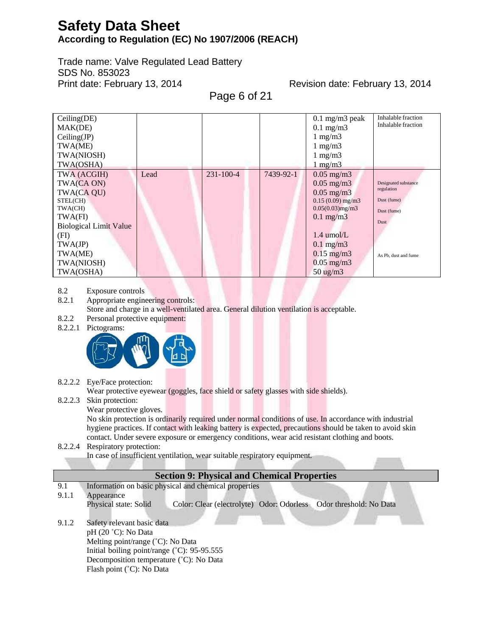Trade name: Valve Regulated Lead Battery SDS No. 853023 Print date: February 13, 2014

Revision date: February 13, 2014

Page 6 of 21

| Ceiling(DE)<br>MAK(DE)<br>Ceiling(JP)<br>TWA(ME)<br>TWA(NIOSH)<br>TWA(OSHA)                                                                                         |      |                 |           | $0.1$ mg/m3 peak<br>$0.1$ mg/m $3$<br>$1 \text{ mg/m}$<br>$1 \text{ mg/m}$<br>$1 \text{ mg/m}$<br>$1 \text{ mg/m}$                                                                                                         | Inhalable fraction<br>Inhalable fraction                                                         |
|---------------------------------------------------------------------------------------------------------------------------------------------------------------------|------|-----------------|-----------|----------------------------------------------------------------------------------------------------------------------------------------------------------------------------------------------------------------------------|--------------------------------------------------------------------------------------------------|
| TWA (ACGIH)<br>TWA(CA ON)<br>TWA(CA QU)<br>STEL(CH)<br>TWA(CH)<br>TWA(FI)<br><b>Biological Limit Value</b><br>(FI)<br>TWA(JP)<br>TWA(ME)<br>TWA(NIOSH)<br>TWA(OSHA) | Lead | $231 - 100 - 4$ | 7439-92-1 | $0.05$ mg/m $3$<br>$0.05$ mg/m $3$<br>$0.05$ mg/m $3$<br>$0.15(0.09)$ mg/m3<br>$0.05(0.03)$ mg/m3<br>$0.1 \text{ mg/m}$<br>$1.4 \text{ umol/L}$<br>$0.1 \text{ mg/m}$<br>$0.15$ mg/m3<br>$0.05$ mg/m3<br>$50 \text{ ug/m}$ | Designated substance<br>regulation<br>Dust (fume)<br>Dust (fume)<br>Dust<br>As Pb, dust and fume |

8.2 Exposure controls

8.2.1 Appropriate engineering controls: Store and charge in a well-ventilated area. General dilution ventilation is acceptable.

- 8.2.2 Personal protective equipment:
- 8.2.2.1 Pictograms:



8.2.2.2 Eye/Face protection:

Wear protective eyewear (goggles, face shield or safety glasses with side shields).

- 8.2.2.3 Skin protection:
	- Wear protective gloves.

No skin protection is ordinarily required under normal conditions of use. In accordance with industrial hygiene practices. If contact with leaking battery is expected, precautions should be taken to avoid skin contact. Under severe exposure or emergency conditions, wear acid resistant clothing and boots.

### 8.2.2.4 Respiratory protection:

In case of insufficient ventilation, wear suitable respiratory equipment.

### **Section 9: Physical and Chemical Properties**

9.1 Information on basic physical and chemical properties

- 9.1.1 Appearance Physical state: Solid Color: Clear (electrolyte) Odor: Odorless Odor threshold: No Data
- 9.1.2 Safety relevant basic data pH (20 ˚C): No Data Melting point/range (˚C): No Data Initial boiling point/range (˚C): 95-95.555 Decomposition temperature (˚C): No Data Flash point (˚C): No Data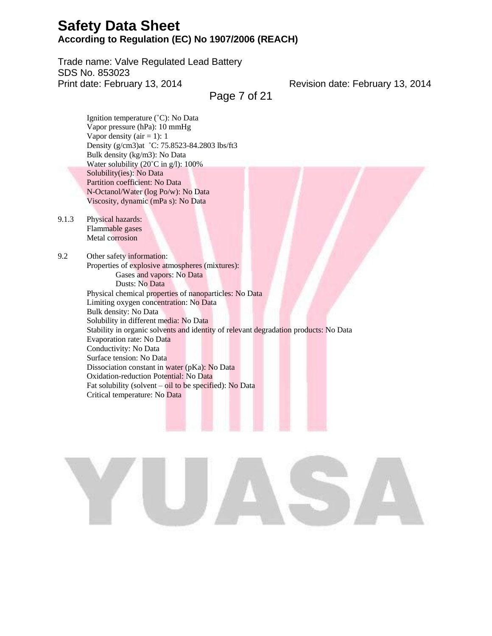Trade name: Valve Regulated Lead Battery SDS No. 853023 Print date: February 13, 2014

Revision date: February 13, 2014

Page 7 of 21

Ignition temperature (˚C): No Data Vapor pressure (hPa): 10 mmHg Vapor density ( $air = 1$ ): 1 Density (g/cm3)at ˚C: 75.8523-84.2803 lbs/ft3 Bulk density (kg/m3): No Data Water solubility (20°C in g/l): 100% Solubility(ies): No Data Partition coefficient: No Data N-Octanol/Water (log Po/w): No Data Viscosity, dynamic (mPa s): No Data

9.1.3 Physical hazards: Flammable gases Metal corrosion

9.2 Other safety information: Properties of explosive atmospheres (mixtures): Gases and vapors: No Data Dusts: No Data Physical chemical properties of nanoparticles: No Data Limiting oxygen concentration: No Data Bulk density: No Data Solubility in different media: No Data Stability in organic solvents and identity of relevant degradation products: No Data Evaporation rate: No Data Conductivity: No Data Surface tension: No Data Dissociation constant in water (pKa): No Data Oxidation-reduction Potential: No Data Fat solubility (solvent – oil to be specified): No Data Critical temperature: No Data

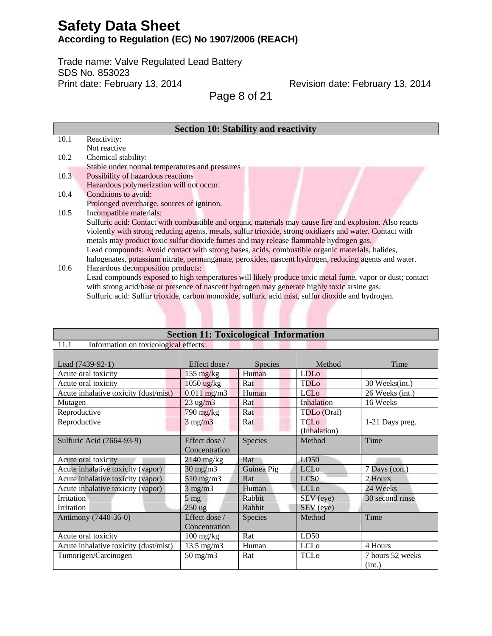Trade name: Valve Regulated Lead Battery SDS No. 853023 Print date: February 13, 2014

Revision date: February 13, 2014

Page 8 of 21

|      | <b>Section 10: Stability and reactivity</b>                                                              |
|------|----------------------------------------------------------------------------------------------------------|
| 10.1 | Reactivity:                                                                                              |
|      | Not reactive                                                                                             |
| 10.2 | Chemical stability:                                                                                      |
|      | Stable under normal temperatures and pressures                                                           |
| 10.3 | Possibility of hazardous reactions                                                                       |
|      | Hazardous polymerization will not occur.                                                                 |
| 10.4 | Conditions to avoid:                                                                                     |
|      | Prolonged overcharge, sources of ignition.                                                               |
| 10.5 | Incompatible materials:                                                                                  |
|      | Sulfuric acid: Contact with combustible and organic materials may cause fire and explosion. Also reacts  |
|      | violently with strong reducing agents, metals, sulfur trioxide, strong oxidizers and water. Contact with |
|      | metals may product toxic sulfur dioxide fumes and may release flammable hydrogen gas.                    |
|      | Lead compounds: Avoid contact with strong bases, acids, combustible organic materials, halides,          |
|      | halogenates, potassium nitrate, permanganate, peroxides, nascent hydrogen, reducing agents and water.    |
| 10.6 | Hazardous decomposition products:                                                                        |
|      | Lead compounds exposed to high temperatures will likely produce toxic metal fume, vapor or dust; contact |

with strong acid/base or presence of nascent hydrogen may generate highly toxic arsine gas. Sulfuric acid: Sulfur trioxide, carbon monoxide, sulfuric acid mist, sulfur dioxide and hydrogen.

**Section 11: Toxicological Information**

| 11.1<br>Information on toxicological effects: |                                   |                |                             |                            |  |
|-----------------------------------------------|-----------------------------------|----------------|-----------------------------|----------------------------|--|
| Lead (7439-92-1)                              | Effect dose /                     | <b>Species</b> | Method                      | Time                       |  |
| Acute oral toxicity                           | $155 \text{ mg/kg}$               | Human          | LDL <sub>o</sub>            |                            |  |
| Acute oral toxicity                           | $1050$ ug/kg                      | Rat            | <b>TDLo</b>                 | 30 Weeks(int.)             |  |
| Acute inhalative toxicity (dust/mist)         | $0.011$ mg/m3                     | Human          | <b>LCL<sub>o</sub></b>      | 26 Weeks (int.)            |  |
| Mutagen                                       | $23$ ug/m $3$                     | Rat            | Inhalation                  | 16 Weeks                   |  |
| Reproductive                                  | 790 mg/kg                         | Rat            | TDL <sub>o</sub> (Oral)     |                            |  |
| Reproductive                                  | $3$ mg/m $3$                      | Rat            | <b>TCLo</b><br>(Inhalation) | 1-21 Days preg.            |  |
| Sulfuric Acid (7664-93-9)                     | Effect dose /<br>Concentration    | Species        | Method                      | Time                       |  |
| Acute oral toxicity                           | $2140$ mg/kg                      | Rat            | LD50                        |                            |  |
| Acute inhalative toxicity (vapor)             | $30 \text{ mg/m}$                 | Guinea Pig     | <b>LCL<sub>o</sub></b>      | 7 Days (con.)              |  |
| Acute inhalative toxicity (vapor)             | $510$ mg/m $3$                    | Rat            | LC50                        | 2 Hours                    |  |
| Acute inhalative toxicity (vapor)             | $3$ mg/m $3$                      | Human          | <b>LCL<sub>o</sub></b>      | 24 Weeks                   |  |
| Irritation                                    | $5 \text{ mg}$                    | Rabbit         | SEV (eye)                   | 30 second rinse            |  |
| Irritation                                    | $250$ ug                          | Rabbit         | SEV (eye)                   |                            |  |
| Antimony (7440-36-0)                          | Effect dose /<br>Concentration    | Species        | Method                      | Time                       |  |
| Acute oral toxicity                           | $100 \frac{\text{mg}}{\text{kg}}$ | Rat            | LD50                        |                            |  |
| Acute inhalative toxicity (dust/mist)         | $13.5 \text{ mg/m}$               | Human          | <b>LCL<sub>o</sub></b>      | 4 Hours                    |  |
| Tumorigen/Carcinogen                          | $50$ mg/m $3$                     | Rat            | <b>TCLo</b>                 | 7 hours 52 weeks<br>(int.) |  |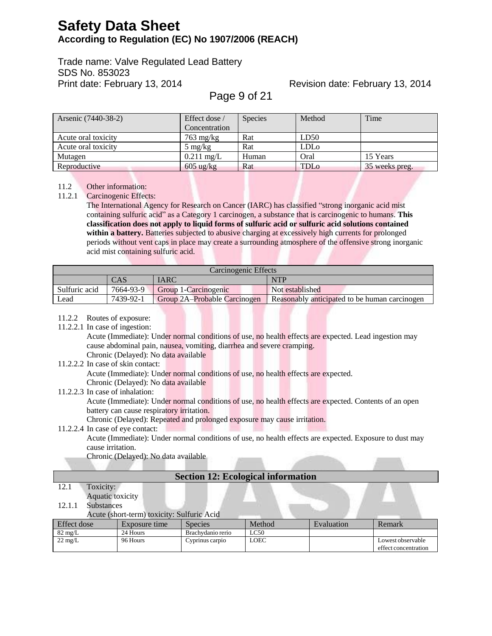Trade name: Valve Regulated Lead Battery SDS No. 853023 Print date: February 13, 2014

## Revision date: February 13, 2014

Page 9 of 21

| Arsenic (7440-38-2) | Effect dose /       | <b>Species</b> | Method                  | Time           |
|---------------------|---------------------|----------------|-------------------------|----------------|
|                     | Concentration       |                |                         |                |
| Acute oral toxicity | $763 \text{ mg/kg}$ | Rat            | LD50                    |                |
| Acute oral toxicity | $5 \text{ mg/kg}$   | Rat            | <b>LDL</b> <sub>o</sub> |                |
| Mutagen             | $0.211$ mg/L        | Human          | Oral                    | 15 Years       |
| Reproductive        | $605 \text{ ug/kg}$ | Rat            | TDLo                    | 35 weeks preg. |

## 11.2 Other information:

11.2.1 Carcinogenic Effects:

The International Agency for Research on Cancer (IARC) has classified "strong inorganic acid mist containing sulfuric acid" as a Category 1 carcinogen, a substance that is carcinogenic to humans. **This classification does not apply to liquid forms of sulfuric acid or sulfuric acid solutions contained within a battery.** Batteries subjected to abusive charging at excessively high currents for prolonged periods without vent caps in place may create a surrounding atmosphere of the offensive strong inorganic acid mist containing sulfuric acid.

| Carcinogenic Effects                              |                           |                      |                                               |  |  |  |
|---------------------------------------------------|---------------------------|----------------------|-----------------------------------------------|--|--|--|
|                                                   | IARC<br><b>NTP</b><br>CAS |                      |                                               |  |  |  |
| Sulfuric acid                                     | 7664-93-9                 | Group 1-Carcinogenic | Not established                               |  |  |  |
| Lead<br>7439-92-1<br>Group 2A-Probable Carcinogen |                           |                      | Reasonably anticipated to be human carcinogen |  |  |  |

### 11.2.2 Routes of exposure:

11.2.2.1 In case of ingestion:

Acute (Immediate): Under normal conditions of use, no health effects are expected. Lead ingestion may cause abdominal pain, nausea, vomiting, diarrhea and severe cramping.

### Chronic (Delayed): No data available

11.2.2.2 In case of skin contact:

Acute (Immediate): Under normal conditions of use, no health effects are expected.

Chronic (Delayed): No data available

### 11.2.2.3 In case of inhalation:

Acute (Immediate): Under normal conditions of use, no health effects are expected. Contents of an open battery can cause respiratory irritation.

Chronic (Delayed): Repeated and prolonged exposure may cause irritation.

### 11.2.2.4 In case of eye contact:

Acute (Immediate): Under normal conditions of use, no health effects are expected. Exposure to dust may cause irritation.

Chronic (Delayed): No data available

### **Section 12: Ecological information**

12.1 Toxicity: Aquatic toxicity

## 12.1.1 Substances

Acute (short-term) toxicity: Sulfuric Acid

| Effect dose       | Exposure time | Species           | Method | Evaluation | Remark                                    |
|-------------------|---------------|-------------------|--------|------------|-------------------------------------------|
| $82 \text{ mg/L}$ | 24 Hours      | Brachvdanio rerio | LC50   |            |                                           |
| $22 \text{ mg/L}$ | 96 Hours      | Cyprinus carpio   | LOEC   |            | Lowest observable<br>effect concentration |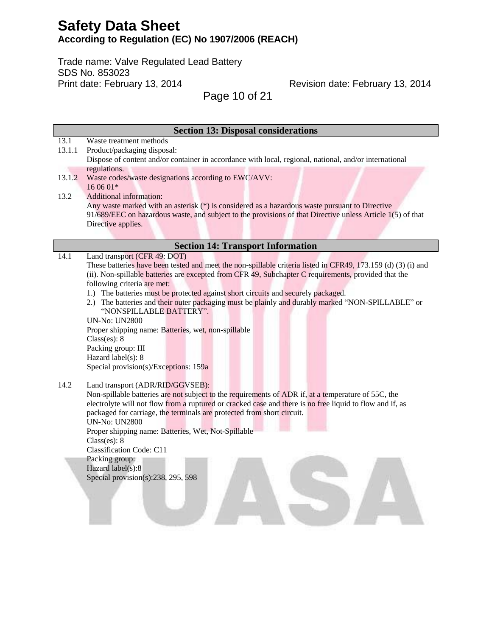Trade name: Valve Regulated Lead Battery SDS No. 853023 Print date: February 13, 2014

Revision date: February 13, 2014

Page 10 of 21

|        | <b>Section 13: Disposal considerations</b>                                                                    |
|--------|---------------------------------------------------------------------------------------------------------------|
| 13.1   | Waste treatment methods                                                                                       |
| 13.1.1 | Product/packaging disposal:                                                                                   |
|        | Dispose of content and/or container in accordance with local, regional, national, and/or international        |
|        | regulations.                                                                                                  |
| 13.1.2 | Waste codes/waste designations according to EWC/AVV:                                                          |
|        | 16 06 01*                                                                                                     |
| 13.2   | Additional information:                                                                                       |
|        | Any waste marked with an asterisk (*) is considered as a hazardous waste pursuant to Directive                |
|        | 91/689/EEC on hazardous waste, and subject to the provisions of that Directive unless Article 1(5) of that    |
|        | Directive applies.                                                                                            |
|        |                                                                                                               |
|        | <b>Section 14: Transport Information</b>                                                                      |
| 14.1   | Land transport (CFR 49: DOT)                                                                                  |
|        | These batteries have been tested and meet the non-spillable criteria listed in CFR49, 173.159 (d) (3) (i) and |
|        | (ii). Non-spillable batteries are excepted from CFR 49, Subchapter C requirements, provided that the          |
|        | following criteria are met:                                                                                   |
|        | 1.) The batteries must be protected against short circuits and securely packaged.                             |
|        | 2.) The batteries and their outer packaging must be plainly and durably marked "NON-SPILLABLE" or             |
|        | "NONSPILLABLE BATTERY".                                                                                       |
|        | <b>UN-No: UN2800</b>                                                                                          |
|        | Proper shipping name: Batteries, wet, non-spillable                                                           |
|        | Class(es): 8                                                                                                  |
|        | Packing group: III                                                                                            |
|        | Hazard label(s): 8                                                                                            |
|        | Special provision(s)/Exceptions: 159a                                                                         |
|        |                                                                                                               |
| 14.2   | Land transport (ADR/RID/GGVSEB):                                                                              |
|        | Non-spillable batteries are not subject to the requirements of ADR if, at a temperature of 55C, the           |
|        | electrolyte will not flow from a ruptured or cracked case and there is no free liquid to flow and if, as      |
|        | packaged for carriage, the terminals are protected from short circuit.                                        |
|        | <b>UN-No: UN2800</b>                                                                                          |
|        | Proper shipping name: Batteries, Wet, Not-Spillable                                                           |
|        | Class(es): 8                                                                                                  |
|        | <b>Classification Code: C11</b>                                                                               |
|        | Packing group:                                                                                                |
|        | Hazard label(s):8                                                                                             |
|        | Special provision(s): $238$ , $295$ , $598$                                                                   |
|        |                                                                                                               |
|        |                                                                                                               |
|        |                                                                                                               |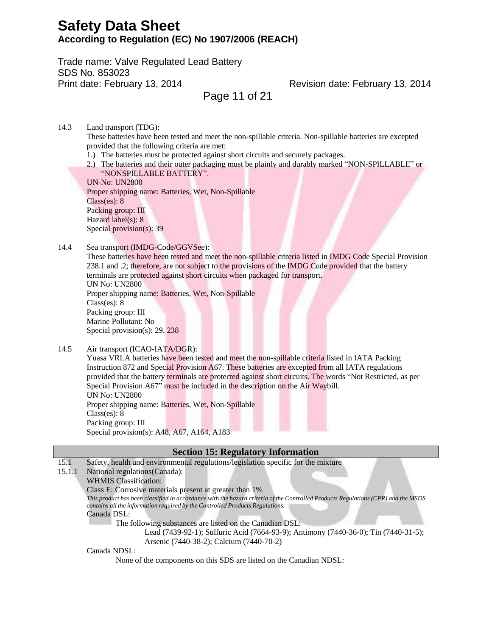Trade name: Valve Regulated Lead Battery SDS No. 853023 Print date: February 13, 2014

Revision date: February 13, 2014

Page 11 of 21

14.3 Land transport (TDG):

These batteries have been tested and meet the non-spillable criteria. Non-spillable batteries are excepted provided that the following criteria are met:

- 1.) The batteries must be protected against short circuits and securely packages.
- 2.) The batteries and their outer packaging must be plainly and durably marked "NON-SPILLABLE" or "NONSPILLABLE BATTERY".

UN-No: UN2800 Proper shipping name: Batteries, Wet, Non-Spillable Class(es): 8 Packing group: III Hazard label(s): 8 Special provision(s): 39

#### 14.4 Sea transport (IMDG-Code/GGVSee):

These batteries have been tested and meet the non-spillable criteria listed in IMDG Code Special Provision 238.1 and .2; therefore, are not subject to the provisions of the IMDG Code provided that the battery terminals are protected against short circuits when packaged for transport. UN No: UN2800

Proper shipping name: Batteries, Wet, Non-Spillable Class(es): 8 Packing group: III Marine Pollutant: No Special provision(s): 29, 238

14.5 Air transport (ICAO-IATA/DGR):

Yuasa VRLA batteries have been tested and meet the non-spillable criteria listed in IATA Packing Instruction 872 and Special Provision A67. These batteries are excepted from all IATA regulations provided that the battery terminals are protected against short circuits. The words "Not Restricted, as per Special Provision A67" must be included in the description on the Air Waybill. UN No: UN2800 Proper shipping name: Batteries, Wet, Non-Spillable Class(es): 8

Packing group: III Special provision(s): A48, A67, A164, A183

### **Section 15: Regulatory Information**

15.1 Safety, health and environmental regulations/legislation specific for the mixture

### 15.1.1 National regulations(Canada):

WHMIS Classification:

Class E: Corrosive materials present at greater than 1%

This product has been classified in accordance with the hazard criteria of the Controlled Products Regulations (CPR) and the MSDS *contains all the information required by the Controlled Products Regulations.*

Canada DSL:

The following substances are listed on the Canadian DSL:

Lead (7439-92-1); Sulfuric Acid (7664-93-9); Antimony (7440-36-0); Tin (7440-31-5); Arsenic (7440-38-2); Calcium (7440-70-2)

Canada NDSL:

None of the components on this SDS are listed on the Canadian NDSL: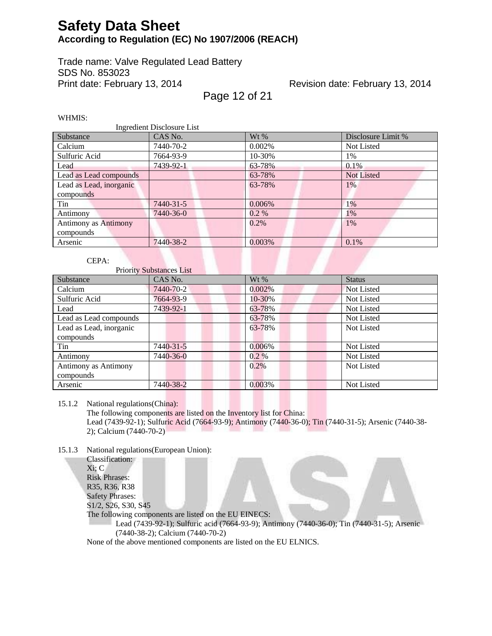Trade name: Valve Regulated Lead Battery SDS No. 853023 Print date: February 13, 2014

## Revision date: February 13, 2014

Page 12 of 21

WHMIS:

| <b>Ingredient Disclosure List</b> |           |           |                    |  |  |
|-----------------------------------|-----------|-----------|--------------------|--|--|
| Substance                         | CAS No.   | $Wt\%$    | Disclosure Limit % |  |  |
| Calcium                           | 7440-70-2 | $0.002\%$ | Not Listed         |  |  |
| Sulfuric Acid                     | 7664-93-9 | 10-30%    | 1%                 |  |  |
| Lead                              | 7439-92-1 | 63-78%    | $0.1\%$            |  |  |
| Lead as Lead compounds            |           | 63-78%    | <b>Not Listed</b>  |  |  |
| Lead as Lead, inorganic           |           | 63-78%    | 1%                 |  |  |
| compounds                         |           |           |                    |  |  |
| Tin                               | 7440-31-5 | 0.006%    | 1%                 |  |  |
| Antimony                          | 7440-36-0 | $0.2 \%$  | 1%                 |  |  |
| <b>Antimony as Antimony</b>       |           | $0.2\%$   | 1%                 |  |  |
| compounds                         |           |           |                    |  |  |
| Arsenic                           | 7440-38-2 | 0.003%    | $0.1\%$            |  |  |

### CEPA:

Priority Substances List

| Substance               | CAS No.   | $Wt\%$   | <b>Status</b> |
|-------------------------|-----------|----------|---------------|
| Calcium                 | 7440-70-2 | 0.002%   | Not Listed    |
| Sulfuric Acid           | 7664-93-9 | 10-30%   | Not Listed    |
| Lead                    | 7439-92-1 | 63-78%   | Not Listed    |
| Lead as Lead compounds  |           | 63-78%   | Not Listed    |
| Lead as Lead, inorganic |           | 63-78%   | Not Listed    |
| compounds               |           |          |               |
| Tin                     | 7440-31-5 | 0.006%   | Not Listed    |
| Antimony                | 7440-36-0 | $0.2 \%$ | Not Listed    |
| Antimony as Antimony    |           | 0.2%     | Not Listed    |
| compounds               |           |          |               |
| Arsenic                 | 7440-38-2 | 0.003%   | Not Listed    |

15.1.2 National regulations(China):

The following components are listed on the Inventory list for China: Lead (7439-92-1); Sulfuric Acid (7664-93-9); Antimony (7440-36-0); Tin (7440-31-5); Arsenic (7440-38- 2); Calcium (7440-70-2)

15.1.3 National regulations(European Union):

Classification: Xi; C Risk Phrases: R35, R36, R38 Safety Phrases: S1/2, S26, S30, S45 The following components are listed on the EU EINECS: Lead (7439-92-1); Sulfuric acid (7664-93-9); Antimony (7440-36-0); Tin (7440-31-5); Arsenic (7440-38-2); Calcium (7440-70-2)

None of the above mentioned components are listed on the EU ELNICS.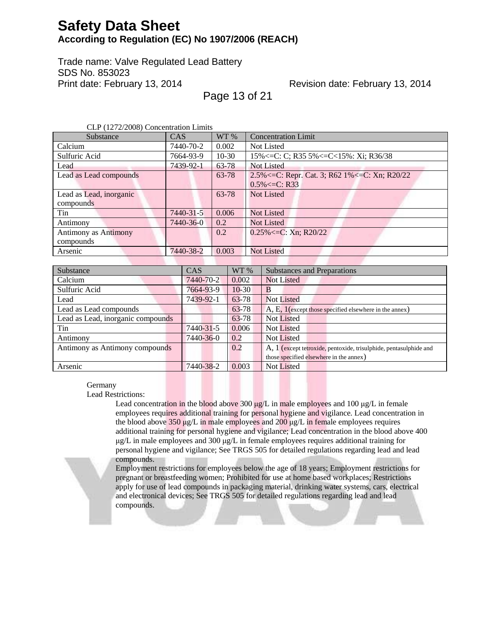Trade name: Valve Regulated Lead Battery SDS No. 853023 Print date: February 13, 2014

## Revision date: February 13, 2014

Page 13 of 21

CLP (1272/2008) Concentration Limits

| Substance                   | <b>CAS</b> | WT%     | <b>Concentration Limit</b>                             |
|-----------------------------|------------|---------|--------------------------------------------------------|
| Calcium                     | 7440-70-2  | 0.002   | <b>Not Listed</b>                                      |
| Sulfuric Acid               | 7664-93-9  | $10-30$ | 15% $\leq$ C: C; R35 5% $\leq$ C $\lt$ 15%: Xi; R36/38 |
| Lead                        | 7439-92-1  | 63-78   | Not Listed                                             |
| Lead as Lead compounds      |            | 63-78   | 2.5% <= C: Repr. Cat. 3; R62 1% <= C: Xn; R20/22       |
|                             |            |         | $0.5\% < = C$ : R33                                    |
| Lead as Lead, inorganic     |            | 63-78   | <b>Not Listed</b>                                      |
| compounds                   |            |         |                                                        |
| Tin                         | 7440-31-5  | 0.006   | <b>Not Listed</b>                                      |
| Antimony                    | 7440-36-0  | 0.2     | <b>Not Listed</b>                                      |
| <b>Antimony as Antimony</b> |            | 0.2     | $0.25\% \le C$ : Xn; R20/22                            |
| compounds                   |            |         |                                                        |
| Arsenic                     | 7440-38-2  | 0.003   | <b>Not Listed</b>                                      |

| Substance                         | CAS       | WT %    | <b>Substances and Preparations</b>                                |
|-----------------------------------|-----------|---------|-------------------------------------------------------------------|
| Calcium                           | 7440-70-2 | 0.002   | <b>Not Listed</b>                                                 |
| Sulfuric Acid                     | 7664-93-9 | $10-30$ | B                                                                 |
| Lead                              | 7439-92-1 | 63-78   | <b>Not Listed</b>                                                 |
| Lead as Lead compounds            |           | 63-78   | A, E, 1 (except those specified elsewhere in the annex)           |
| Lead as Lead, inorganic compounds |           | 63-78   | Not Listed                                                        |
| Tin                               | 7440-31-5 | 0.006   | <b>Not Listed</b>                                                 |
| Antimony                          | 7440-36-0 | 0.2     | <b>Not Listed</b>                                                 |
| Antimony as Antimony compounds    |           | 0.2     | A, 1 (except tetroxide, pentoxide, trisulphide, pentasulphide and |
|                                   |           |         | those specified elsewhere in the annex)                           |
| Arsenic                           | 7440-38-2 | 0.003   | Not Listed                                                        |

#### Germany

Lead Restrictions:

Lead concentration in the blood above 300  $\mu$ g/L in male employees and 100  $\mu$ g/L in female employees requires additional training for personal hygiene and vigilance. Lead concentration in the blood above 350 μg/L in male employees and 200 μg/L in female employees requires additional training for personal hygiene and vigilance; Lead concentration in the blood above 400 μg/L in male employees and 300 μg/L in female employees requires additional training for personal hygiene and vigilance; See TRGS 505 for detailed regulations regarding lead and lead compounds.

Employment restrictions for employees below the age of 18 years; Employment restrictions for pregnant or breastfeeding women; Prohibited for use at home based workplaces; Restrictions apply for use of lead compounds in packaging material, drinking water systems, cars, electrical and electronical devices; See TRGS 505 for detailed regulations regarding lead and lead compounds.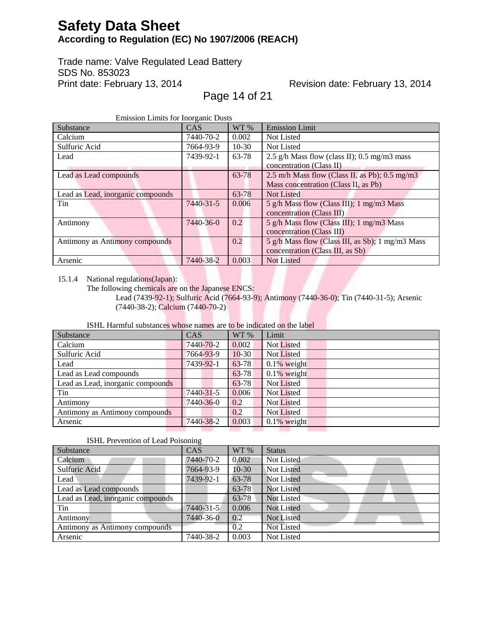Trade name: Valve Regulated Lead Battery SDS No. 853023 Print date: February 13, 2014

# Revision date: February 13, 2014

Page 14 of 21

| Revision date: February 13, 2014 |  |  |
|----------------------------------|--|--|
|----------------------------------|--|--|

|--|

| Substance                         | <b>CAS</b> | WT %    | <b>Emission Limit</b>                            |
|-----------------------------------|------------|---------|--------------------------------------------------|
| Calcium                           | 7440-70-2  | 0.002   | Not Listed                                       |
| Sulfuric Acid                     | 7664-93-9  | $10-30$ | Not Listed                                       |
| Lead                              | 7439-92-1  | 63-78   | 2.5 g/h Mass flow (class II); 0.5 mg/m3 mass     |
|                                   |            |         | concentration (Class II)                         |
| Lead as Lead compounds            |            | 63-78   | 2.5 m/h Mass flow (Class II, as Pb); $0.5$ mg/m3 |
|                                   |            |         | Mass concentration (Class II, as Pb)             |
| Lead as Lead, inorganic compounds |            | 63-78   | <b>Not Listed</b>                                |
| Tin                               | 7440-31-5  | 0.006   | 5 g/h Mass flow (Class III); 1 mg/m3 Mass        |
|                                   |            |         | concentration (Class III)                        |
| Antimony                          | 7440-36-0  | 0.2     | 5 g/h Mass flow (Class III); 1 mg/m3 Mass        |
|                                   |            |         | concentration (Class III)                        |
| Antimony as Antimony compounds    |            | 0.2     | 5 g/h Mass flow (Class III, as Sb); 1 mg/m3 Mass |
|                                   |            |         | concentration (Class III, as Sb)                 |
| Arsenic                           | 7440-38-2  | 0.003   | <b>Not Listed</b>                                |

15.1.4 National regulations(Japan):

Lead (7439-92-1); Sulfuric Acid (7664-93-9); Antimony (7440-36-0); Tin (7440-31-5); Arsenic (7440-38-2); Calcium (7440-70-2)

#### ISHL Harmful substances whose names are to be indicated on the label

| Substance                         | <b>CAS</b> | WT %    | Limit             |
|-----------------------------------|------------|---------|-------------------|
| Calcium                           | 7440-70-2  | 0.002   | Not Listed        |
| Sulfuric Acid                     | 7664-93-9  | $10-30$ | <b>Not Listed</b> |
| Lead                              | 7439-92-1  | 63-78   | $0.1\%$ weight    |
| Lead as Lead compounds            |            | 63-78   | $0.1\%$ weight    |
| Lead as Lead, inorganic compounds |            | 63-78   | Not Listed        |
| Tin                               | 7440-31-5  | 0.006   | Not Listed        |
| Antimony                          | 7440-36-0  | 0.2     | Not Listed        |
| Antimony as Antimony compounds    |            | 0.2     | Not Listed        |
| Arsenic                           | 7440-38-2  | 0.003   | $0.1\%$ weight    |
|                                   |            |         |                   |

#### ISHL Prevention of Lead Poisoning

| Substance                         | CAS       | WT %    | <b>Status</b>     |
|-----------------------------------|-----------|---------|-------------------|
| Calcium                           | 7440-70-2 | 0.002   | Not Listed        |
| Sulfuric Acid                     | 7664-93-9 | $10-30$ | Not Listed        |
| Lead                              | 7439-92-1 | 63-78   | Not Listed        |
| Lead as Lead compounds            |           | 63-78   | Not Listed        |
| Lead as Lead, inorganic compounds |           | 63-78   | Not Listed        |
| Tin                               | 7440-31-5 | 0.006   | <b>Not Listed</b> |
| Antimony                          | 7440-36-0 | 0.2     | <b>Not Listed</b> |
| Antimony as Antimony compounds    |           | 0.2     | Not Listed        |
| Arsenic                           | 7440-38-2 | 0.003   | <b>Not Listed</b> |

The following chemicals are on the Japanese ENCS: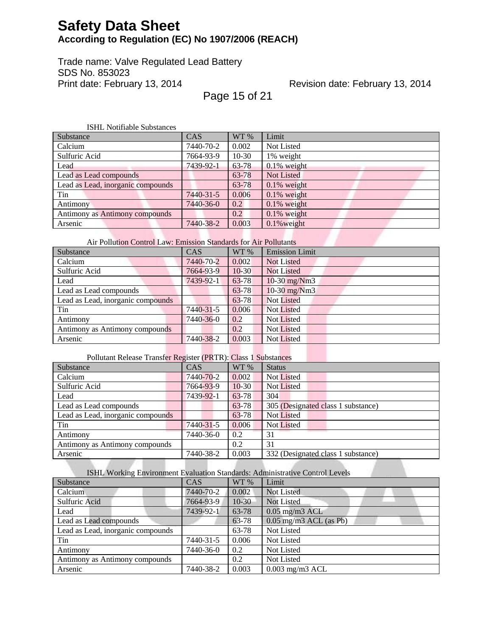Trade name: Valve Regulated Lead Battery SDS No. 853023 Print date: February 13, 2014

Revision date: February 13, 2014

Page 15 of 21

| <b>ISHL Notifiable Substances</b> |           |         |                   |  |
|-----------------------------------|-----------|---------|-------------------|--|
| Substance                         | CAS       | WT %    | Limit             |  |
| Calcium                           | 7440-70-2 | 0.002   | Not Listed        |  |
| Sulfuric Acid                     | 7664-93-9 | $10-30$ | 1% weight         |  |
| Lead                              | 7439-92-1 | 63-78   | $0.1\%$ weight    |  |
| Lead as Lead compounds            |           | 63-78   | <b>Not Listed</b> |  |
| Lead as Lead, inorganic compounds |           | 63-78   | $0.1\%$ weight    |  |
| Tin                               | 7440-31-5 | 0.006   | $0.1\%$ weight    |  |
| Antimony                          | 7440-36-0 | 0.2     | $0.1\%$ weight    |  |
| Antimony as Antimony compounds    |           | 0.2     | $0.1\%$ weight    |  |
| Arsenic                           | 7440-38-2 | 0.003   | $0.1\%$ weight    |  |

Air Pollution Control Law: Emission Standards for Air Pollutants

| Substance                         | CAS       | WT %    | <b>Emission Limit</b> |
|-----------------------------------|-----------|---------|-----------------------|
| Calcium                           | 7440-70-2 | 0.002   | Not Listed            |
| Sulfuric Acid                     | 7664-93-9 | $10-30$ | <b>Not Listed</b>     |
| Lead                              | 7439-92-1 | 63-78   | $10-30$ mg/Nm3        |
| Lead as Lead compounds            |           | 63-78   | 10-30 mg/Nm3          |
| Lead as Lead, inorganic compounds |           | 63-78   | <b>Not Listed</b>     |
| Tin                               | 7440-31-5 | 0.006   | <b>Not Listed</b>     |
| Antimony                          | 7440-36-0 | 0.2     | Not Listed            |
| Antimony as Antimony compounds    |           | 0.2     | <b>Not Listed</b>     |
| Arsenic                           | 7440-38-2 | 0.003   | Not Listed            |

### Pollutant Release Transfer Register (PRTR): Class 1 Substances

| Substance                         | CAS       | WT %    | <b>Status</b>                      |
|-----------------------------------|-----------|---------|------------------------------------|
| Calcium                           | 7440-70-2 | 0.002   | Not Listed                         |
| Sulfuric Acid                     | 7664-93-9 | $10-30$ | Not Listed                         |
| Lead                              | 7439-92-1 | 63-78   | 304                                |
| Lead as Lead compounds            |           | 63-78   | 305 (Designated class 1 substance) |
| Lead as Lead, inorganic compounds |           | 63-78   | Not Listed                         |
| Tin                               | 7440-31-5 | 0.006   | <b>Not Listed</b>                  |
| Antimony                          | 7440-36-0 | 0.2     | 31                                 |
| Antimony as Antimony compounds    |           | 0.2     | 31                                 |
| Arsenic                           | 7440-38-2 | 0.003   | 332 (Designated class 1 substance) |

### ISHL Working Environment Evaluation Standards: Administrative Control Levels

| to the Worlding Bill in original is concerned to the |            |         |                             |
|------------------------------------------------------|------------|---------|-----------------------------|
| Substance                                            | <b>CAS</b> | WT %    | Limit                       |
| Calcium                                              | 7440-70-2  | 0.002   | Not Listed                  |
| Sulfuric Acid                                        | 7664-93-9  | $10-30$ | Not Listed                  |
| Lead                                                 | 7439-92-1  | 63-78   | $0.05$ mg/m3 ACL            |
| Lead as Lead compounds                               |            | 63-78   | $0.05$ mg/m $3$ ACL (as Pb) |
| Lead as Lead, inorganic compounds                    |            | 63-78   | Not Listed                  |
| Tin                                                  | 7440-31-5  | 0.006   | Not Listed                  |
| Antimony                                             | 7440-36-0  | 0.2     | Not Listed                  |
| Antimony as Antimony compounds                       |            | 0.2     | Not Listed                  |
| Arsenic                                              | 7440-38-2  | 0.003   | $0.003$ mg/m $3$ ACL        |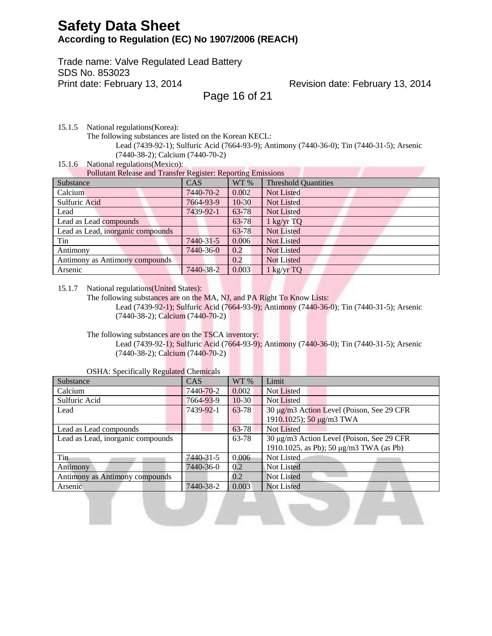Trade name: Valve Regulated Lead Battery SDS No. 853023 Print date: February 13, 2014

### Revision date: February 13, 2014

Page 16 of 21

15.1.5 National regulations(Korea):

The following substances are listed on the Korean KECL:

Lead (7439-92-1); Sulfuric Acid (7664-93-9); Antimony (7440-36-0); Tin (7440-31-5); Arsenic (7440-38-2); Calcium (7440-70-2)

15.1.6 National regulations(Mexico):

Pollutant Release and Transfer Register: Reporting Emissions

| I onthum refease and Transfer Register. Reporting Emmorths |            |         |                             |  |
|------------------------------------------------------------|------------|---------|-----------------------------|--|
| Substance                                                  | <b>CAS</b> | WT %    | <b>Threshold Quantities</b> |  |
| Calcium                                                    | 7440-70-2  | 0.002   | Not Listed                  |  |
| Sulfuric Acid                                              | 7664-93-9  | $10-30$ | Not Listed                  |  |
| Lead                                                       | 7439-92-1  | 63-78   | <b>Not Listed</b>           |  |
| Lead as Lead compounds                                     |            | 63-78   | 1 kg/yr TQ                  |  |
| Lead as Lead, inorganic compounds                          |            | 63-78   | <b>Not Listed</b>           |  |
| Tin                                                        | 7440-31-5  | 0.006   | <b>Not Listed</b>           |  |
| Antimony                                                   | 7440-36-0  | 0.2     | <b>Not Listed</b>           |  |
| Antimony as Antimony compounds                             |            | 0.2     | <b>Not Listed</b>           |  |
| Arsenic                                                    | 7440-38-2  | 0.003   | 1 kg/yr TQ                  |  |
|                                                            |            |         |                             |  |

15.1.7 National regulations(United States):

The following substances are on the MA, NJ, and PA Right To Know Lists: Lead (7439-92-1); Sulfuric Acid (7664-93-9); Antimony (7440-36-0); Tin (7440-31-5); Arsenic (7440-38-2); Calcium (7440-70-2)

The following substances are on the TSCA inventory:

Lead (7439-92-1); Sulfuric Acid (7664-93-9); Antimony (7440-36-0); Tin (7440-31-5); Arsenic (7440-38-2); Calcium (7440-70-2)

<u>La Alektron Ale</u>k

| Substance                         | <b>CAS</b> | WT %    | Limit                                     |
|-----------------------------------|------------|---------|-------------------------------------------|
| Calcium                           | 7440-70-2  | 0.002   | Not Listed                                |
| Sulfuric Acid                     | 7664-93-9  | $10-30$ | Not Listed                                |
| Lead                              | 7439-92-1  | 63-78   | 30 μg/m3 Action Level (Poison, See 29 CFR |
|                                   |            |         | 1910.1025); 50 μg/m3 TWA                  |
| Lead as Lead compounds            |            | 63-78   | <b>Not Listed</b>                         |
| Lead as Lead, inorganic compounds |            | 63-78   | 30 μg/m3 Action Level (Poison, See 29 CFR |
|                                   |            |         | 1910.1025, as Pb); 50 μg/m3 TWA (as Pb)   |
| Tin                               | 7440-31-5  | 0.006   | Not Listed                                |
| Antimony                          | 7440-36-0  | 0.2     | Not Listed                                |
| Antimony as Antimony compounds    |            | 0.2     | Not Listed                                |
| Arsenic                           | 7440-38-2  | 0.003   | <b>Not Listed</b>                         |

#### OSHA: Specifically Regulated Chemicals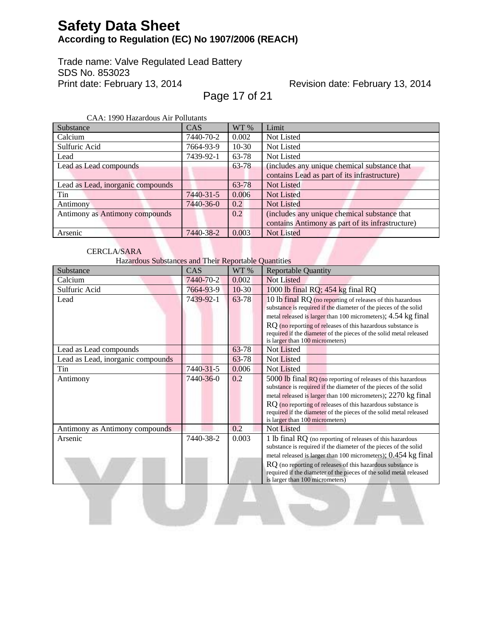Trade name: Valve Regulated Lead Battery SDS No. 853023 Print date: February 13, 2014

## Revision date: February 13, 2014

Page 17 of 21

CAA: 1990 Hazardous Air Pollutants

| САА. 1770 Hazardous All I опшанк  |            |         |                                                  |
|-----------------------------------|------------|---------|--------------------------------------------------|
| <b>Substance</b>                  | <b>CAS</b> | WT %    | Limit                                            |
| Calcium                           | 7440-70-2  | 0.002   | Not Listed                                       |
| Sulfuric Acid                     | 7664-93-9  | $10-30$ | Not Listed                                       |
| Lead                              | 7439-92-1  | 63-78   | Not Listed                                       |
| Lead as Lead compounds            |            | 63-78   | (includes any unique chemical substance that     |
|                                   |            |         | contains Lead as part of its infrastructure)     |
| Lead as Lead, inorganic compounds |            | 63-78   | <b>Not Listed</b>                                |
| Tin                               | 7440-31-5  | 0.006   | <b>Not Listed</b>                                |
| Antimony                          | 7440-36-0  | 0.2     | <b>Not Listed</b>                                |
| Antimony as Antimony compounds    |            | 0.2     | (includes any unique chemical substance that     |
|                                   |            |         | contains Antimony as part of its infrastructure) |
| Arsenic                           | 7440-38-2  | 0.003   | <b>Not Listed</b>                                |

### CERCLA/SARA

Hazardous Substances and Their Reportable Quantities

J. J. J

| Substance                         | CAS       | WT %    | <b>Reportable Quantity</b>                                                                                                                                                                                                                                                                                                                                                |
|-----------------------------------|-----------|---------|---------------------------------------------------------------------------------------------------------------------------------------------------------------------------------------------------------------------------------------------------------------------------------------------------------------------------------------------------------------------------|
| Calcium                           | 7440-70-2 | 0.002   | <b>Not Listed</b>                                                                                                                                                                                                                                                                                                                                                         |
| Sulfuric Acid                     | 7664-93-9 | $10-30$ | 1000 lb final RQ; 454 kg final RQ                                                                                                                                                                                                                                                                                                                                         |
| Lead                              | 7439-92-1 | 63-78   | 10 lb final RQ (no reporting of releases of this hazardous<br>substance is required if the diameter of the pieces of the solid<br>metal released is larger than 100 micrometers); 4.54 kg final<br>RQ (no reporting of releases of this hazardous substance is<br>required if the diameter of the pieces of the solid metal released<br>is larger than 100 micrometers)   |
| Lead as Lead compounds            |           | 63-78   | Not Listed                                                                                                                                                                                                                                                                                                                                                                |
| Lead as Lead, inorganic compounds |           | 63-78   | <b>Not Listed</b>                                                                                                                                                                                                                                                                                                                                                         |
| Tin                               | 7440-31-5 | 0.006   | Not Listed                                                                                                                                                                                                                                                                                                                                                                |
| Antimony                          | 7440-36-0 | 0.2     | 5000 lb final RQ (no reporting of releases of this hazardous<br>substance is required if the diameter of the pieces of the solid<br>metal released is larger than 100 micrometers); 2270 kg final<br>RQ (no reporting of releases of this hazardous substance is<br>required if the diameter of the pieces of the solid metal released<br>is larger than 100 micrometers) |
| Antimony as Antimony compounds    |           | 0.2     | Not Listed                                                                                                                                                                                                                                                                                                                                                                |
| Arsenic                           | 7440-38-2 | 0.003   | 1 lb final RQ (no reporting of releases of this hazardous<br>substance is required if the diameter of the pieces of the solid<br>metal released is larger than 100 micrometers); 0.454 kg final<br>RQ (no reporting of releases of this hazardous substance is<br>required if the diameter of the pieces of the solid metal released<br>is larger than 100 micrometers)   |

 $\overline{\phantom{a}}$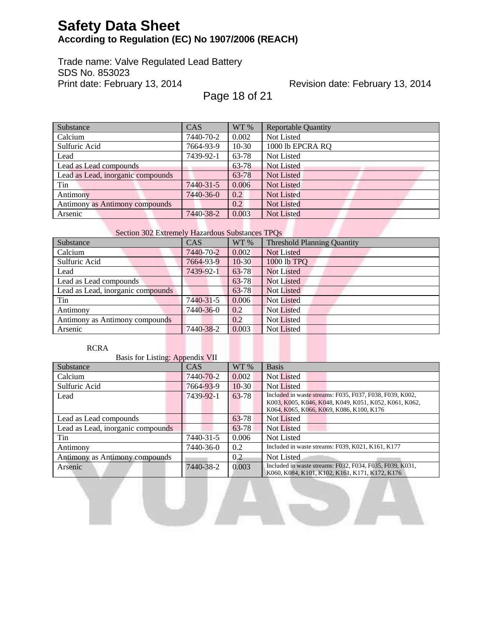Trade name: Valve Regulated Lead Battery SDS No. 853023 Print date: February 13, 2014

Revision date: February 13, 2014

Page 18 of 21

| Substance                         | CAS       | WT %    | <b>Reportable Quantity</b> |
|-----------------------------------|-----------|---------|----------------------------|
| Calcium                           | 7440-70-2 | 0.002   | Not Listed                 |
| Sulfuric Acid                     | 7664-93-9 | $10-30$ | 1000 lb EPCRA RQ           |
| Lead                              | 7439-92-1 | 63-78   | Not Listed                 |
| Lead as Lead compounds            |           | 63-78   | <b>Not Listed</b>          |
| Lead as Lead, inorganic compounds |           | 63-78   | Not Listed                 |
| Tin                               | 7440-31-5 | 0.006   | <b>Not Listed</b>          |
| Antimony                          | 7440-36-0 | 0.2     | <b>Not Listed</b>          |
| Antimony as Antimony compounds    |           | 0.2     | Not Listed                 |
| Arsenic                           | 7440-38-2 | 0.003   | Not Listed                 |

### Section 302 Extremely Hazardous Substances TPQs

| Substance                         | <b>CAS</b> | WT %    | <b>Threshold Planning Quantity</b> |
|-----------------------------------|------------|---------|------------------------------------|
| Calcium                           | 7440-70-2  | 0.002   | Not Listed                         |
| Sulfuric Acid                     | 7664-93-9  | $10-30$ | 1000 lb TPQ                        |
| Lead                              | 7439-92-1  | 63-78   | <b>Not Listed</b>                  |
| Lead as Lead compounds            |            | 63-78   | <b>Not Listed</b>                  |
| Lead as Lead, inorganic compounds |            | 63-78   | Not Listed                         |
| Tin                               | 7440-31-5  | 0.006   | <b>Not Listed</b>                  |
| Antimony                          | 7440-36-0  | 0.2     | <b>Not Listed</b>                  |
| Antimony as Antimony compounds    |            | 0.2     | <b>Not Listed</b>                  |
| Arsenic                           | 7440-38-2  | 0.003   | <b>Not Listed</b>                  |

#### RCRA

Basis for Listing: Appendix VII Substance CAS WT % Basis Calcium 7440-70-2 0.002 Not Listed Sulfuric Acid 7664-93-9 10-30 Not Listed Lead 7439-92-1 63-78 Included in waste streams: F035, F037, F038, F039, K002, K003, K005, K046, K048, K049, K051, K052, K061, K062, K064, K065, K066, K069, K086, K100, K176 Lead as Lead compounds 63-78 Not Listed Lead as Lead, inorganic compounds 63-78 Not Listed Tin 7440-31-5 0.006 Not Listed Antimony 7440-36-0 0.2 Included in waste streams: F039, K021, K161, K177 Antimony as Antimony compounds 0.2 Not Listed Arsenic 7440-38-2 0.003 Included in waste streams: F032, F034, F035, F039, K031, K060, K084, K101, K102, K161, K171, K172, K176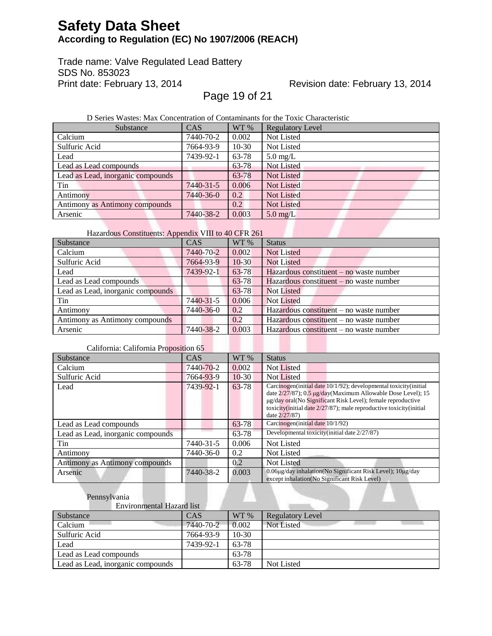Trade name: Valve Regulated Lead Battery SDS No. 853023 Print date: February 13, 2014

Revision date: February 13, 2014

Page 19 of 21

D Series Wastes: Max Concentration of Contaminants for the Toxic Characteristic

| Substance                         | <b>CAS</b> | WT %    | <b>Regulatory Level</b> |
|-----------------------------------|------------|---------|-------------------------|
| Calcium                           | 7440-70-2  | 0.002   | Not Listed              |
| Sulfuric Acid                     | 7664-93-9  | $10-30$ | Not Listed              |
| Lead                              | 7439-92-1  | 63-78   | $5.0 \text{ mg/L}$      |
| Lead as Lead compounds            |            | 63-78   | Not Listed              |
| Lead as Lead, inorganic compounds |            | 63-78   | <b>Not Listed</b>       |
| Tin                               | 7440-31-5  | 0.006   | <b>Not Listed</b>       |
| Antimony                          | 7440-36-0  | 0.2     | Not Listed              |
| Antimony as Antimony compounds    |            | 0.2     | <b>Not Listed</b>       |
| Arsenic                           | 7440-38-2  | 0.003   | $5.0$ mg/L              |

### Hazardous Constituents: Appendix VIII to 40 CFR 261

| Substance                         | CAS       | WT %    | <b>Status</b>                             |
|-----------------------------------|-----------|---------|-------------------------------------------|
| Calcium                           | 7440-70-2 | 0.002   | Not Listed                                |
| Sulfuric Acid                     | 7664-93-9 | $10-30$ | Not Listed                                |
| Lead                              | 7439-92-1 | 63-78   | Hazardous constituent $-$ no waste number |
| Lead as Lead compounds            |           | 63-78   | Hazardous constituent – no waste number   |
| Lead as Lead, inorganic compounds |           | 63-78   | Not Listed                                |
| Tin                               | 7440-31-5 | 0.006   | <b>Not Listed</b>                         |
| Antimony                          | 7440-36-0 | 0.2     | Hazardous constituent – no waste number   |
| Antimony as Antimony compounds    |           | 0.2     | Hazardous constituent – no waste number   |
| Arsenic                           | 7440-38-2 | 0.003   | Hazardous constituent – no waste number   |

### California: California Proposition 65

| camonina. Camonina rropobition os |            |               |                                                                                                                                                                                                                                                                                          |
|-----------------------------------|------------|---------------|------------------------------------------------------------------------------------------------------------------------------------------------------------------------------------------------------------------------------------------------------------------------------------------|
| Substance                         | <b>CAS</b> | $WT\%$        | <b>Status</b>                                                                                                                                                                                                                                                                            |
| Calcium                           | 7440-70-2  | 0.002         | <b>Not Listed</b>                                                                                                                                                                                                                                                                        |
| Sulfuric Acid                     | 7664-93-9  | $10-30$       | Not Listed                                                                                                                                                                                                                                                                               |
| Lead                              | 7439-92-1  | 63-78         | Carcinogen (initial date 10/1/92); developmental toxicity (initial<br>date 2/27/87); 0.5 µg/day(Maximum Allowable Dose Level); 15<br>ug/day oral (No Significant Risk Level); female reproductive<br>toxicity(initial date 2/27/87); male reproductive toxicity(initial<br>date 2/27/87) |
| Lead as Lead compounds            |            | 63-78         | Carcinogen(initial date 10/1/92)                                                                                                                                                                                                                                                         |
| Lead as Lead, inorganic compounds |            | 63-78         | Developmental toxicity(initial date 2/27/87)                                                                                                                                                                                                                                             |
| Tin                               | 7440-31-5  | 0.006         | Not Listed                                                                                                                                                                                                                                                                               |
| Antimony                          | 7440-36-0  | $0.2^{\circ}$ | Not Listed                                                                                                                                                                                                                                                                               |
| Antimony as Antimony compounds    |            | 0.2           | <b>Not Listed</b>                                                                                                                                                                                                                                                                        |
| Arsenic                           | 7440-38-2  | 0.003         | 0.06μg/day inhalation(No Significant Risk Level); 10μg/day<br>except inhalation (No Significant Risk Level)                                                                                                                                                                              |

### Pennsylvania

| Environmental Hazard list         |           |         |                   |
|-----------------------------------|-----------|---------|-------------------|
| Substance                         | CAS       | WT %    | Regulatory Level  |
| Calcium                           | 7440-70-2 | 0.002   | <b>Not Listed</b> |
| Sulfuric Acid                     | 7664-93-9 | $10-30$ |                   |
| Lead                              | 7439-92-1 | 63-78   |                   |
| Lead as Lead compounds            |           | 63-78   |                   |
| Lead as Lead, inorganic compounds |           | 63-78   | Not Listed        |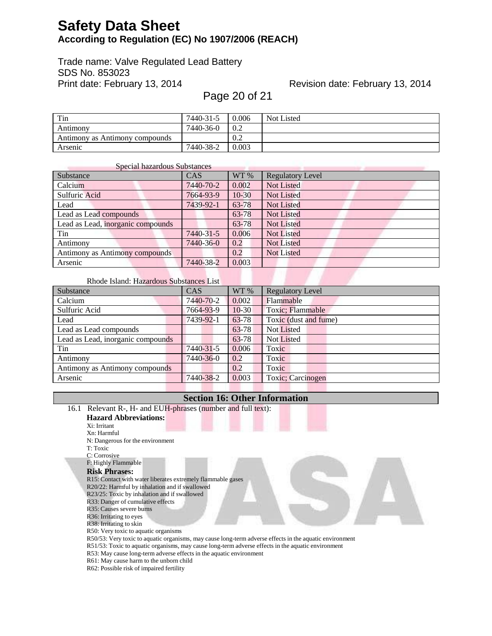Trade name: Valve Regulated Lead Battery SDS No. 853023 Print date: February 13, 2014

## Revision date: February 13, 2014

Page 20 of 21

| Tin                            | 7440-31-5 | 0.006 | Not Listed |
|--------------------------------|-----------|-------|------------|
| Antimony                       | 7440-36-0 | 0.2   |            |
| Antimony as Antimony compounds |           | 0.2   |            |
| Arsenic                        | 7440-38-2 | 0.003 |            |

| Special hazardous Substances      |            |         |                         |
|-----------------------------------|------------|---------|-------------------------|
| Substance                         | <b>CAS</b> | WT %    | <b>Regulatory Level</b> |
| Calcium                           | 7440-70-2  | 0.002   | <b>Not Listed</b>       |
| Sulfuric Acid                     | 7664-93-9  | $10-30$ | <b>Not Listed</b>       |
| Lead                              | 7439-92-1  | 63-78   | <b>Not Listed</b>       |
| Lead as Lead compounds            |            | 63-78   | Not Listed              |
| Lead as Lead, inorganic compounds |            | 63-78   | Not Listed              |
| Tin                               | 7440-31-5  | 0.006   | <b>Not Listed</b>       |
| Antimony                          | 7440-36-0  | 0.2     | <b>Not Listed</b>       |
| Antimony as Antimony compounds    |            | 0.2     | <b>Not Listed</b>       |
| Arsenic                           | 7440-38-2  | 0.003   |                         |

### Rhode Island: Hazardous Substances List

| Substance                         | <b>CAS</b> | WT %    | <b>Regulatory Level</b> |
|-----------------------------------|------------|---------|-------------------------|
| Calcium                           | 7440-70-2  | 0.002   | Flammable               |
| Sulfuric Acid                     | 7664-93-9  | $10-30$ | Toxic; Flammable        |
| Lead                              | 7439-92-1  | 63-78   | Toxic (dust and fume)   |
| Lead as Lead compounds            |            | 63-78   | <b>Not Listed</b>       |
| Lead as Lead, inorganic compounds |            | 63-78   | <b>Not Listed</b>       |
| Tin                               | 7440-31-5  | 0.006   | Toxic                   |
| Antimony                          | 7440-36-0  | 0.2     | Toxic                   |
| Antimony as Antimony compounds    |            | 0.2     | Toxic                   |
| Arsenic                           | 7440-38-2  | 0.003   | Toxic; Carcinogen       |

### **Section 16: Other Information**

| 16.1 Relevant R-, H- and EUH-phrases (number and full text):                                            |
|---------------------------------------------------------------------------------------------------------|
| <b>Hazard Abbreviations:</b>                                                                            |
| Xi: Irritant                                                                                            |
| Xn: Harmful                                                                                             |
| N: Dangerous for the environment                                                                        |
| T: Toxic                                                                                                |
| C: Corrosive                                                                                            |
| F: Highly Flammable                                                                                     |
| <b>Risk Phrases:</b>                                                                                    |
| R15: Contact with water liberates extremely flammable gases                                             |
| R20/22: Harmful by inhalation and if swallowed                                                          |
| R23/25: Toxic by inhalation and if swallowed                                                            |
| R33: Danger of cumulative effects                                                                       |
| R35: Causes severe burns                                                                                |
| R <sub>36</sub> : Irritating to eyes                                                                    |
| R38: Irritating to skin<br>R50: Very toxic to aquatic organisms                                         |
| R50/53: Very toxic to aquatic organisms, may cause long-term adverse effects in the aquatic environment |
| R51/53: Toxic to aquatic organisms, may cause long-term adverse effects in the aquatic environment      |
| R53: May cause long-term adverse effects in the aquatic environment                                     |
| R61: May cause harm to the unborn child                                                                 |
| R62: Possible risk of impaired fertility                                                                |
|                                                                                                         |